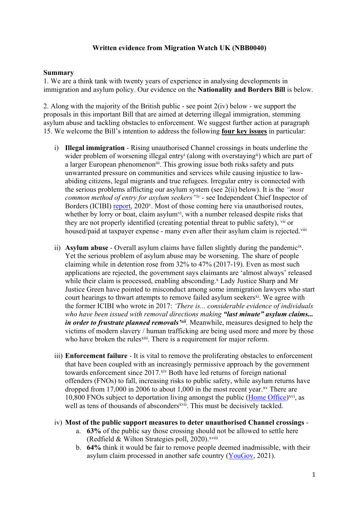## **Written evidence from Migration Watch UK (NBB0040)**

#### **Summary**

1. We are a think tank with twenty years of experience in analysing developments in immigration and asylum policy. Our evidence on the **Nationality and Borders Bill** is below.

2. Along with the majority of the British public - see point  $2(iv)$  below - we support the proposals in this important Bill that are aimed at deterring illegal immigration, stemming asylum abuse and tackling obstacles to enforcement. We suggest further action at paragraph 15. We welcome the Bill's intention to address the following **four key issues** in particular:

- i) **Illegal immigration** Rising unauthorised Channel crossings in boats underline the wider problem of worsening illegal entry<sup>i</sup> (along with overstaying<sup>ii</sup>) which are part of a larger European phenomenon<sup>iii</sup>. This growing issue both risks safety and puts unwarranted pressure on communities and services while causing injustice to lawabiding citizens, legal migrants and true refugees. Irregular entry is connected with the serious problems afflicting our asylum system (see 2(ii) below). It is the *"most common method of entry for asylum seekers"iv* - see Independent Chief Inspector of Borders (ICIBI) [report,](https://assets.publishing.service.gov.uk/government/uploads/system/uploads/attachment_data/file/933953/An_inspection_of_the_Home_Office_s_response_to_in-country_clandestine_arrivals___lorry_drops___and_to_irregular_migrants_arriving_via__small_boats_.pdf) 2020<sup>v</sup>. Most of those coming here via unauthorised routes, whether by lorry or boat, claim asylum<sup>vi</sup>, with a number released despite risks that they are not properly identified (creating potential threat to public safety), vii or housed/paid at taxpayer expense - many even after their asylum claim is rejected.<sup>viii</sup>
- ii) Asylum abuse Overall asylum claims have fallen slightly during the pandemicix. Yet the serious problem of asylum abuse may be worsening. The share of people claiming while in detention rose from 32% to 47% (2017-19). Even as most such applications are rejected, the government says claimants are 'almost always' released while their claim is processed, enabling absconding.<sup>x</sup> Lady Justice Sharp and Mr Justice Green have pointed to misconduct among some immigration lawyers who start court hearings to thwart attempts to remove failed asylum seekers<sup>xi</sup>. We agree with the former ICIBI who wrote in 2017: *'There is... considerable evidence of individuals who have been issued with removal directions making "last minute" asylum claims... in order to frustrate planned removals'xii .* Meanwhile, measures designed to help the victims of modern slavery / human trafficking are being used more and more by those who have broken the rules<sup>xiii</sup>. There is a requirement for major reform.
- iii) **Enforcement failure** It is vital to remove the proliferating obstacles to enforcement that have been coupled with an increasingly permissive approach by the government towards enforcement since 2017.<sup>xiv</sup> Both have led returns of foreign national offenders (FNOs) to fall, increasing risks to public safety, while asylum returns have dropped from 17,000 in 2006 to about 1,000 in the most recent year.<sup>xv</sup> There are 10,800 FNOs subject to deportation living amongst the public ([Home](https://www.gov.uk/government/publications/immigration-enforcement-data-q2-2021) [Office\)](https://www.gov.uk/government/publications/immigration-enforcement-data-q2-2021)<sup>xvi</sup>, as well as tens of thousands of absconders<sup>xvii</sup>. This must be decisively tackled.

#### iv) **Most of the public support measures to deter unauthorised Channel crossings** -

- a. **63%** of the public say those crossing should not be allowed to settle here (Redfield  $&$  Wilton Strategies poll, 2020).<sup>xviii</sup>
- b. **64%** think it would be fair to remove people deemed inadmissible, with their asylum claim processed in another safe country ([YouGov](https://docs.cdn.yougov.com/hg64syxmyv/YouGov%20-%20New%20Plan%20for%20Immigration%20results.pdf), 2021).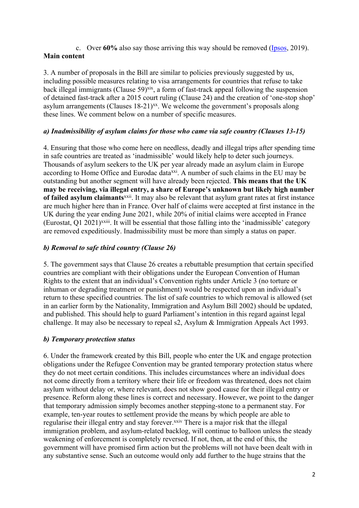## c. Over **60%** also say those arriving this way should be removed [\(Ipsos,](https://www.ipsos.com/sites/default/files/ct/news/documents/2019-11/public-attitudes-towards-immigration-survey-for-imix-nov-2019.pdf) 2019). **Main content**

3. A number of proposals in the Bill are similar to policies previously suggested by us, including possible measures relating to visa arrangements for countries that refuse to take back illegal immigrants (Clause 59)<sup>xix</sup>, a form of fast-track appeal following the suspension of detained fast-track after a 2015 court ruling (Clause 24) and the creation of 'one-stop shop' asylum arrangements (Clauses 18-21)<sup>xx</sup>. We welcome the government's proposals along these lines. We comment below on a number of specific measures.

# *a) Inadmissibility of asylum claims for those who came via safe country (Clauses 13-15)*

4. Ensuring that those who come here on needless, deadly and illegal trips after spending time in safe countries are treated as 'inadmissible' would likely help to deter such journeys. Thousands of asylum seekers to the UK per year already made an asylum claim in Europe according to Home Office and Eurodac data<sup>xxi</sup>. A number of such claims in the EU may be outstanding but another segment will have already been rejected. **This means that the UK may be receiving, via illegal entry, a share of Europe's unknown but likely high number of failed asylum claimants**xxii . It may also be relevant that asylum grant rates at first instance are much higher here than in France. Over half of claims were accepted at first instance in the UK during the year ending June 2021, while 20% of initial claims were accepted in France (Eurostat, Q1 2021)<sup>xxiii</sup>. It will be essential that those falling into the 'inadmissible' category are removed expeditiously. Inadmissibility must be more than simply a status on paper.

## *b) Removal to safe third country (Clause 26)*

5. The government says that Clause 26 creates a rebuttable presumption that certain specified countries are compliant with their obligations under the European Convention of Human Rights to the extent that an individual's Convention rights under Article 3 (no torture or inhuman or degrading treatment or punishment) would be respected upon an individual's return to these specified countries. The list of safe countries to which removal is allowed (set in an earlier form by the Nationality, Immigration and Asylum Bill 2002) should be updated, and published. This should help to guard Parliament's intention in this regard against legal challenge. It may also be necessary to repeal s2, Asylum & Immigration Appeals Act 1993.

## *b) Temporary protection status*

6. Under the framework created by this Bill, people who enter the UK and engage protection obligations under the Refugee Convention may be granted temporary protection status where they do not meet certain conditions. This includes circumstances where an individual does not come directly from a territory where their life or freedom was threatened, does not claim asylum without delay or, where relevant, does not show good cause for their illegal entry or presence. Reform along these lines is correct and necessary. However, we point to the danger that temporary admission simply becomes another stepping-stone to a permanent stay. For example, ten-year routes to settlement provide the means by which people are able to regularise their illegal entry and stay forever.<sup>xxiv</sup> There is a major risk that the illegal immigration problem, and asylum-related backlog, will continue to balloon unless the steady weakening of enforcement is completely reversed. If not, then, at the end of this, the government will have promised firm action but the problems will not have been dealt with in any substantive sense. Such an outcome would only add further to the huge strains that the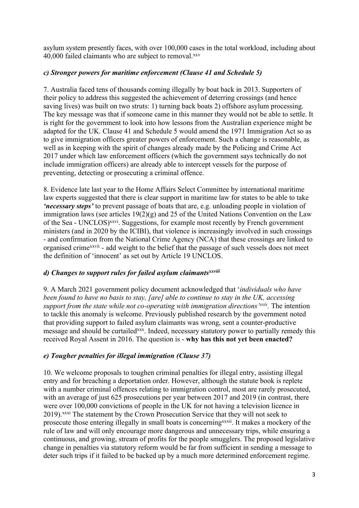asylum system presently faces, with over 100,000 cases in the total workload, including about 40,000 failed claimants who are subject to removal.xxv

## *c) Stronger powers for maritime enforcement (Clause 41 and Schedule 5)*

7. Australia faced tens of thousands coming illegally by boat back in 2013. Supporters of their policy to address this suggested the achievement of deterring crossings (and hence saving lives) was built on two struts: 1) turning back boats 2) offshore asylum processing. The key message was that if someone came in this manner they would not be able to settle. It is right for the government to look into how lessons from the Australian experience might be adapted for the UK. Clause 41 and Schedule 5 would amend the 1971 Immigration Act so as to give immigration officers greater powers of enforcement. Such a change is reasonable, as well as in keeping with the spirit of changes already made by the Policing and Crime Act 2017 under which law enforcement officers (which the government says technically do not include immigration officers) are already able to intercept vessels for the purpose of preventing, detecting or prosecuting a criminal offence.

8. Evidence late last year to the Home Affairs Select Committee by international maritime law experts suggested that there is clear support in maritime law for states to be able to take *'necessary steps'* to prevent passage of boats that are, e.g. unloading people in violation of immigration laws (see articles 19(2)(g) and 25 of the United Nations Convention on the Law of the Sea - UNCLOS)<sup>xxvi</sup>. Suggestions, for example most recently by French government ministers (and in 2020 by the ICIBI), that violence is increasingly involved in such crossings - and confirmation from the National Crime Agency (NCA) that these crossings are linked to organised crime<sup>xxvii</sup> - add weight to the belief that the passage of such vessels does not meet the definition of 'innocent' as set out by Article 19 UNCLOS.

## *d) Changes to support rules for failed asylum claimantsxxviii*

9. A March 2021 government policy document acknowledged that '*individuals who have been found to have no basis to stay, [are] able to continue to stay in the UK, accessing support from the state while not co-operating with immigration directions'xxix .* The intention to tackle this anomaly is welcome. Previously published research by the government noted that providing support to failed asylum claimants was wrong, sent a counter-productive message and should be curtailed<sup>xxx</sup>. Indeed, necessary statutory power to partially remedy this received Royal Assent in 2016. The question is - **why has this not yet been enacted?**

# *e) Tougher penalties for illegal immigration (Clause 37)*

10. We welcome proposals to toughen criminal penalties for illegal entry, assisting illegal entry and for breaching a deportation order. However, although the statute book is replete with a number criminal offences relating to immigration control, most are rarely prosecuted, with an average of just 625 prosecutions per year between 2017 and 2019 (in contrast, there were over 100,000 convictions of people in the UK for not having a television licence in 2019).xxxi The statement by the Crown Prosecution Service that they will not seek to prosecute those entering illegally in small boats is concerning<sup>xxxii</sup>. It makes a mockery of the rule of law and will only encourage more dangerous and unnecessary trips, while ensuring a continuous, and growing, stream of profits for the people smugglers. The proposed legislative change in penalties via statutory reform would be far from sufficient in sending a message to deter such trips if it failed to be backed up by a much more determined enforcement regime.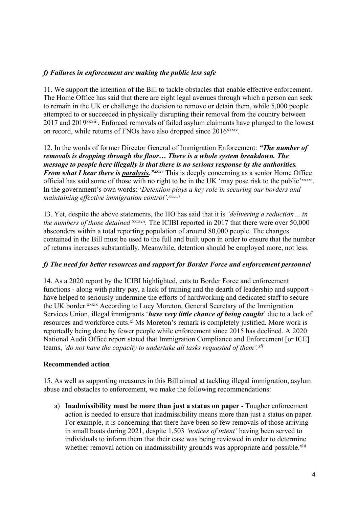# *f) Failures in enforcement are making the public less safe*

11. We support the intention of the Bill to tackle obstacles that enable effective enforcement. The Home Office has said that there are eight legal avenues through which a person can seek to remain in the UK or challenge the decision to remove or detain them, while 5,000 people attempted to or succeeded in physically disrupting their removal from the country between 2017 and 2019<sup>xxxiii</sup>. Enforced removals of failed asylum claimants have plunged to the lowest on record, while returns of FNOs have also dropped since 2016<sup>xxxiv</sup>.

12. In the words of former Director General of Immigration Enforcement: *"The number of removals is dropping through the floor… There is a whole system breakdown. The message to people here illegally is that there is no serious response by the authorities. From what I hear there is paralysis.* "*xxxv* This is deeply concerning as a senior Home Office official has said some of those with no right to be in the UK 'may pose risk to the public'xxxvi. In the government's own words[:](about:blank) '*Detention plays a key role in securing our borders and maintaining effective immigration control'.xxxvii*

13. Yet, despite the above statements, the HO has said that it is *'delivering a reduction… in the numbers of those detained'xxxviii .* The ICIBI reported in 2017 that there were over 50,000 absconders within a total reporting population of around 80,000 people. The changes contained in the Bill must be used to the full and built upon in order to ensure that the number of returns increases substantially. Meanwhile, detention should be employed more, not less.

## *f) The need for better resources and support for Border Force and enforcement personnel*

14. As a 2020 report by the ICIBI highlighted, cuts to Border Force and enforcement functions - along with paltry pay, a lack of training and the dearth of leadership and support have helped to seriously undermine the efforts of hardworking and dedicated staff to secure the UK border.xxxix According to Lucy Moreton, General Secretary of the Immigration Services Union, illegal immigrants '*have very little chance of being caught*' due to a lack of resources and workforce cuts.<sup>xl</sup> Ms Moreton's remark is completely justified. More work is reportedly being done by fewer people while enforcement since 2015 has declined. A 2020 National Audit Office report stated that Immigration Compliance and Enforcement [or ICE] teams, *'do not have the capacity to undertake all tasks requested of them'.xli*

## **Recommended action**

15. As well as supporting measures in this Bill aimed at tackling illegal immigration, asylum abuse and obstacles to enforcement, we make the following recommendations:

a) **Inadmissibility must be more than just a status on paper** - Tougher enforcement action is needed to ensure that inadmissibility means more than just a status on paper. For example, it is concerning that there have been so few removals of those arriving in small boats during 2021, despite 1,503 *'notices of intent'* having been served to individuals to inform them that their case was being reviewed in order to determine whether removal action on inadmissibility grounds was appropriate and possible.<sup>xlii</sup>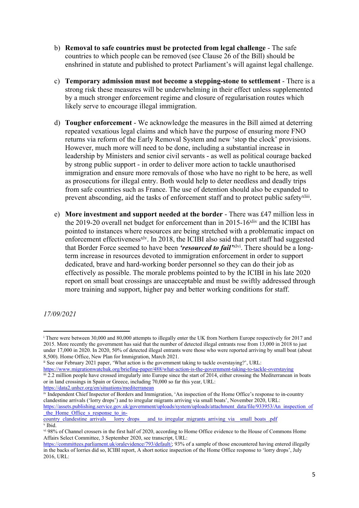- b) **Removal to safe countries must be protected from legal challenge** The safe countries to which people can be removed (see Clause 26 of the Bill) should be enshrined in statute and published to protect Parliament's will against legal challenge.
- c) **Temporary admission must not become a stepping-stone to settlement** There is a strong risk these measures will be underwhelming in their effect unless supplemented by a much stronger enforcement regime and closure of regularisation routes which likely serve to encourage illegal immigration.
- d) **Tougher enforcement** We acknowledge the measures in the Bill aimed at deterring repeated vexatious legal claims and which have the purpose of ensuring more FNO returns via reform of the Early Removal System and new 'stop the clock' provisions. However, much more will need to be done, including a substantial increase in leadership by Ministers and senior civil servants - as well as political courage backed by strong public support - in order to deliver more action to tackle unauthorised immigration and ensure more removals of those who have no right to be here, as well as prosecutions for illegal entry. Both would help to deter needless and deadly trips from safe countries such as France. The use of detention should also be expanded to prevent absconding, aid the tasks of enforcement staff and to protect public safety<sup>xliii</sup>.
- e) **More investment and support needed at the border** There was £47 million less in the 2019-20 overall net budget for enforcement than in 2015-16 $x$ liv and the ICIBI has pointed to instances where resources are being stretched with a problematic impact on enforcement effectiveness<sup>xlv</sup>. In 2018, the ICIBI also said that port staff had suggested that Border Force seemed to have been *'resourced to fail'*xlvi . There should be a longterm increase in resources devoted to immigration enforcement in order to support dedicated, brave and hard-working border personnel so they can do their job as effectively as possible. The morale problems pointed to by the ICIBI in his late 2020 report on small boat crossings are unacceptable and must be swiftly addressed through more training and support, higher pay and better working conditions for staff.

*17/09/2021*

<sup>&</sup>lt;sup>i</sup> There were between 30,000 and 80,000 attempts to illegally enter the UK from Northern Europe respectively for 2017 and 2015. More recently the government has said that the number of detected illegal entrants rose from 13,000 in 2018 to just under 17,000 in 2020. In 2020, 50% of detected illegal entrants were those who were reported arriving by small boat (about 8,500). Home Office, New Plan for Immigration, March 2021.

ii See our February 2021 paper, 'What action is the government taking to tackle overstaying?', URL:

<https://www.migrationwatchuk.org/briefing-paper/488/what-action-is-the-government-taking-to-tackle-overstaying> iii 2.2 million people have crossed irregularly into Europe since the start of 2014, either crossing the Mediterranean in boats or in land crossings in Spain or Greece, including 70,000 so far this year, URL: <https://data2.unhcr.org/en/situations/mediterranean>

iv Independent Chief Inspector of Borders and Immigration, 'An inspection of the Home Office's response to in-country clandestine arrivals ('lorry drops') and to irregular migrants arriving via small boats', November 2020, URL: [https://assets.publishing.service.gov.uk/government/uploads/system/uploads/attachment\\_data/file/933953/An\\_inspection\\_of](https://assets.publishing.service.gov.uk/government/uploads/system/uploads/attachment_data/file/933953/An_inspection_of_the_Home_Office_s_response_to_in-country_clandestine_arrivals___lorry_drops___and_to_irregular_migrants_arriving_via__small_boats_.pdf) the Home Office s response to in-<br>country clandestine arrivals lorry drops

and to irregular migrants arriving via small boats .pdf v Ibid.

vi 98% of Channel crossers in the first half of 2020, according to Home Office evidence to the House of Commons Home Affairs Select Committee, 3 September 2020, see transcript, URL:

[https://committees.parliament.uk/oralevidence/793/default/;](https://committees.parliament.uk/oralevidence/793/default/) 93% of a sample of those encountered having entered illegally in the backs of lorries did so, ICIBI report, A short notice inspection of the Home Office response to 'lorry drops', July 2016, URL: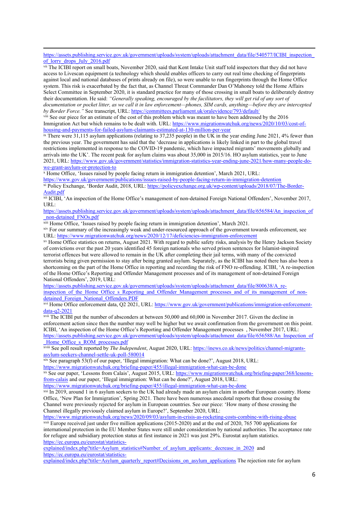https://assets.publishing.service.gov.uk/government/uploads/system/uploads/attachment\_data/file/540577/ICIBI\_inspection of lorry drops July 2016.pdf

<sup>vii</sup> The ICIBI report on small boats, November 2020, said that Kent Intake Unit staff told inspectors that they did not have access to Livescan equipment (a technology which should enables officers to carry out real time checking of fingerprints against local and national databases of prints already on file), so were unable to run fingerprints through the Home Office system. This risk is exacerbated by the fact that, as Channel Threat Commander Dan O'Mahoney told the Home Affairs Select Committee in September 2020, it is standard practice for many of those crossing in small boats to deliberately destroy their documentation. He said: *"Generally speaking, encouraged by the facilitators, they will get rid of any sort of* documentation or pocket litter, as we call it in law enforcement-phones, SIM cards, anything-before they are intercepted *by Border Force."* See transcript, URL: <https://committees.parliament.uk/oralevidence/793/default/>

viii See our piece for an estimate of the cost of this problem which was meant to have been addressed by the 2016 Immigration Act but which remains to be dealt with. URL: [https://www.migrationwatchuk.org/news/2020/10/03/cost-of](https://www.migrationwatchuk.org/news/2020/10/03/cost-of-housing-and-payments-for-failed-asylum-claimants-estimated-at-130-million-per-year)[housing-and-payments-for-failed-asylum-claimants-estimated-at-130-million-per-year](https://www.migrationwatchuk.org/news/2020/10/03/cost-of-housing-and-payments-for-failed-asylum-claimants-estimated-at-130-million-per-year)

 $\frac{1}{10}$  is There were 31,115 asylum applications (relating to 37,235 people) in the UK in the year ending June 2021, 4% fewer than the previous year. The government has said that the 'decrease in applications is likely linked in part to the global travel restrictions implemented in response to the COVID-19 pandemic, which have impacted migrants' movements globally and arrivals into the UK'. The recent peak for asylum claims was about 35,000 in 2015/16. HO asylum statistics, year to June 2021, URL: [https://www.gov.uk/government/statistics/immigration-statistics-year-ending-june-2021/how-many-people-do](https://www.gov.uk/government/statistics/immigration-statistics-year-ending-june-2021/how-many-people-do-we-grant-asylum-or-protection-to)[we-grant-asylum-or-protection-to](https://www.gov.uk/government/statistics/immigration-statistics-year-ending-june-2021/how-many-people-do-we-grant-asylum-or-protection-to)

<sup>x</sup> Home Office, 'Issues raised by people facing return in immigration detention', March 2021, URL:

<https://www.gov.uk/government/publications/issues-raised-by-people-facing-return-in-immigration-detention> xi Policy Exchange, 'Border Audit, 2018, URL: [https://policyexchange.org.uk/wp-content/uploads/2018/07/The-Border-](https://policyexchange.org.uk/wp-content/uploads/2018/07/The-Border-Audit.pdf)[Audit.pdf](https://policyexchange.org.uk/wp-content/uploads/2018/07/The-Border-Audit.pdf)

xii ICIBI, 'An inspection of the Home Office's management of non-detained Foreign National Offenders', November 2017, URL:

[https://assets.publishing.service.gov.uk/government/uploads/system/uploads/attachment\\_data/file/656584/An\\_inspection\\_of](https://assets.publishing.service.gov.uk/government/uploads/system/uploads/attachment_data/file/656584/An_inspection_of_non-detained_FNOs.pdf) [\\_non-detained\\_FNOs.pdf](https://assets.publishing.service.gov.uk/government/uploads/system/uploads/attachment_data/file/656584/An_inspection_of_non-detained_FNOs.pdf)

xiii Home Office, 'Issues raised by people facing return in immigration detention', March 2021.

xiv For our summary of the increasingly weak and under-resourced approach of the government towards enforcement, see URL: <https://www.migrationwatchuk.org/news/2020/12/17/deficiencies-immigration-enforcement>

xv Home Office statistics on returns, August 2021. With regard to public safety risks, analysis by the Henry Jackson Society of convictions over the past 20 years identified 45 foreign nationals who served prison sentences for Islamist-inspired terrorist offences but were allowed to remain in the UK after completing their jail terms, with many of the convicted terrorists being given permission to stay after being granted asylum. Separately, as the ICIBI has noted there has also been a shortcoming on the part of the Home Office in reporting and recording the risk of FNO re-offending. ICIBI, 'A re-inspection of the Home Office's Reporting and Offender Management processes and of its management of non-detained Foreign National Offenders', 2019, URL:

[https://assets.publishing.service.gov.uk/government/uploads/system/uploads/attachment\\_data/file/800638/A\\_re](https://assets.publishing.service.gov.uk/government/uploads/system/uploads/attachment_data/file/800638/A_re-inspection_of_the_Home_Office_s_Reporting_and_Offender_Management_processes_and_of_its_management_of_non-detained_Foreign_National_Offenders.PDF)[inspection\\_of\\_the\\_Home\\_Office\\_s\\_Reporting\\_and\\_Offender\\_Management\\_processes\\_and\\_of\\_its\\_management\\_of\\_non](https://assets.publishing.service.gov.uk/government/uploads/system/uploads/attachment_data/file/800638/A_re-inspection_of_the_Home_Office_s_Reporting_and_Offender_Management_processes_and_of_its_management_of_non-detained_Foreign_National_Offenders.PDF)[detained\\_Foreign\\_National\\_Offenders.PDF](https://assets.publishing.service.gov.uk/government/uploads/system/uploads/attachment_data/file/800638/A_re-inspection_of_the_Home_Office_s_Reporting_and_Offender_Management_processes_and_of_its_management_of_non-detained_Foreign_National_Offenders.PDF)

xvi Home Office enforcement data, Q2 2021, URL: [https://www.gov.uk/government/publications/immigration-enforcement](https://www.gov.uk/government/publications/immigration-enforcement-data-q2-2021)[data-q2-2021](https://www.gov.uk/government/publications/immigration-enforcement-data-q2-2021)

xvii The ICIBI put the number of absconders at between 50,000 and 60,000 in November 2017. Given the decline in enforcement action since then the number may well be higher but we await confirmation from the government on this point. ICIBI, 'An inspection of the Home Office's Reporting and Offender Management processes , November 2017, URL: [https://assets.publishing.service.gov.uk/government/uploads/system/uploads/attachment\\_data/file/656588/An\\_Inspection\\_of](https://assets.publishing.service.gov.uk/government/uploads/system/uploads/attachment_data/file/656588/An_Inspection_of_Home_Office_s_ROM_processes.pdf) [\\_Home\\_Office\\_s\\_ROM\\_processes.pdf](https://assets.publishing.service.gov.uk/government/uploads/system/uploads/attachment_data/file/656588/An_Inspection_of_Home_Office_s_ROM_processes.pdf)

xviii See poll result reported by *The Independent*, August 2020, URL: [https://inews.co.uk/news/politics/channel-migrants](https://inews.co.uk/news/politics/channel-migrants-asylum-seekers-channel-settle-uk-poll-580014)[asylum-seekers-channel-settle-uk-poll-580014](https://inews.co.uk/news/politics/channel-migrants-asylum-seekers-channel-settle-uk-poll-580014)

xix See paragraph 53(f) of our paper, 'Illegal immigration: What can be done?', August 2018, URL:

<https://www.migrationwatchuk.org/briefing-paper/455/illegal-immigration-what-can-be-done> xx See our paper, 'Lessons from Calais', August 2015, URL: [https://www.migrationwatchuk.org/briefing-paper/368/lessons](https://www.migrationwatchuk.org/briefing-paper/368/lessons-from-calais)[from-calais](https://www.migrationwatchuk.org/briefing-paper/368/lessons-from-calais) and our paper, 'Illegal immigration: What can be done?', August 2018, URL:

<https://www.migrationwatchuk.org/briefing-paper/455/illegal-immigration-what-can-be-done>

xxi In 2019, around 1 in 6 asylum seekers to the UK had already made an asylum claim in another European country. Home Office, 'New Plan for Immigration', Spring 2021. There have been numerous anecdotal reports that those crossing the Channel were previously rejected for asylum in European countries. See our piece: 'How many of those crossing the Channel illegally previously claimed asylum in Europe?', September 2020, URL:

<https://www.migrationwatchuk.org/news/2020/09/03/asylum-in-crisis-as-rocketing-costs-combine-with-rising-abuse>

<sup>xxii</sup> Europe received just under five million applications (2015-2020) and at the end of 2020, 765 700 applications for international protection in the EU Member States were still under consideration by national authorities. The acceptance rate for refugee and subsidiary protection status at first instance in 2021 was just 29%. Eurostat asylum statistics. [https://ec.europa.eu/eurostat/statistics-](https://ec.europa.eu/eurostat/statistics-explained/index.php?title=Asylum_statistics#Number_of_asylum_applicants:_decrease_in_2020)

explained/index.php?title=Asylum\_statistics#Number\_of\_asylum\_applicants:\_decrease\_in\_2020\_and [https://ec.europa.eu/eurostat/statistics-](https://ec.europa.eu/eurostat/statistics-explained/index.php?title=Asylum_quarterly_report#Decisions_on_asylum_applications)

[explained/index.php?title=Asylum\\_quarterly\\_report#Decisions\\_on\\_asylum\\_applications](https://ec.europa.eu/eurostat/statistics-explained/index.php?title=Asylum_quarterly_report#Decisions_on_asylum_applications) The rejection rate for asylum